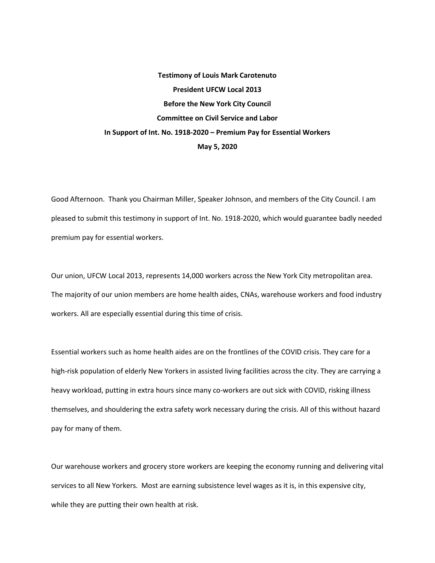## **Testimony of Louis Mark Carotenuto President UFCW Local 2013 Before the New York City Council Committee on Civil Service and Labor In Support of Int. No. 1918-2020 – Premium Pay for Essential Workers May 5, 2020**

Good Afternoon. Thank you Chairman Miller, Speaker Johnson, and members of the City Council. I am pleased to submit this testimony in support of Int. No. 1918-2020, which would guarantee badly needed premium pay for essential workers.

Our union, UFCW Local 2013, represents 14,000 workers across the New York City metropolitan area. The majority of our union members are home health aides, CNAs, warehouse workers and food industry workers. All are especially essential during this time of crisis.

Essential workers such as home health aides are on the frontlines of the COVID crisis. They care for a high-risk population of elderly New Yorkers in assisted living facilities across the city. They are carrying a heavy workload, putting in extra hours since many co-workers are out sick with COVID, risking illness themselves, and shouldering the extra safety work necessary during the crisis. All of this without hazard pay for many of them.

Our warehouse workers and grocery store workers are keeping the economy running and delivering vital services to all New Yorkers. Most are earning subsistence level wages as it is, in this expensive city, while they are putting their own health at risk.